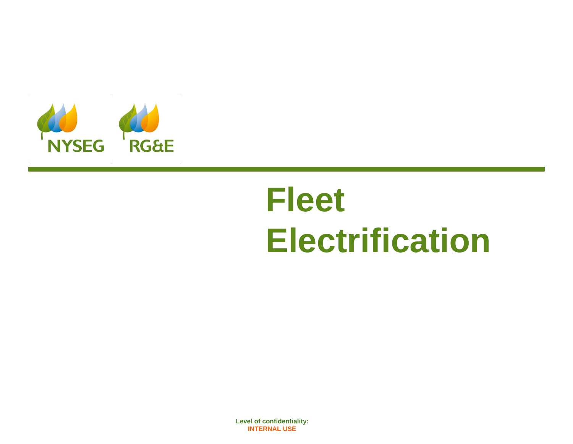

# **Fleet Electrification**

**nyseg.com rge.com Level of confidentiality: 1 INTERNAL USE [Level o](http://www.rge.com/)f confidentiality:**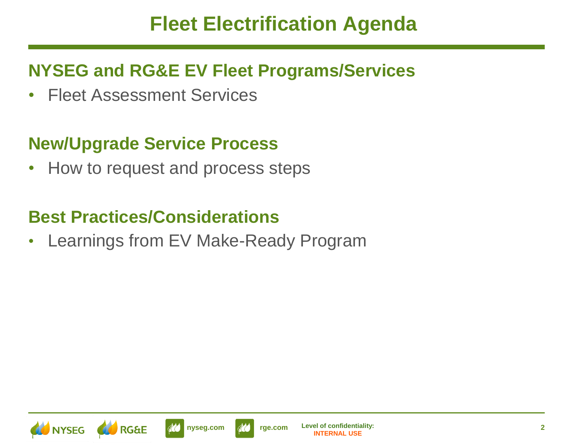### **Fleet Electrification Agenda**

#### **NYSEG and RG&E EV Fleet Programs/Services**

• Fleet Assessment Services

#### **New/Upgrade Service Process**

• How to request and process steps

#### **Best Practices/Considerations**

• Learnings from EV Make-Ready Program





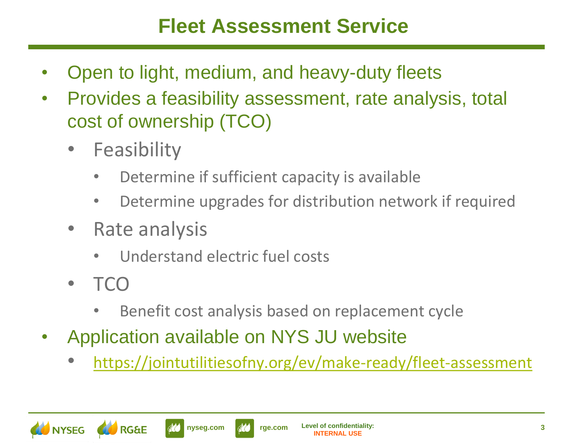## **Fleet Assessment Service**

- Open to light, medium, and heavy-duty fleets
- Provides a feasibility assessment, rate analysis, total cost of ownership (TCO)
	- **Feasibility** 
		- Determine if sufficient capacity is available
		- Determine upgrades for distribution network if required
	- Rate analysis
		- Understand electric fuel costs
	- TCO
		- Benefit cost analysis based on replacement cycle
- Application available on NYS JU website
	- <https://jointutilitiesofny.org/ev/make-ready/fleet-assessment>



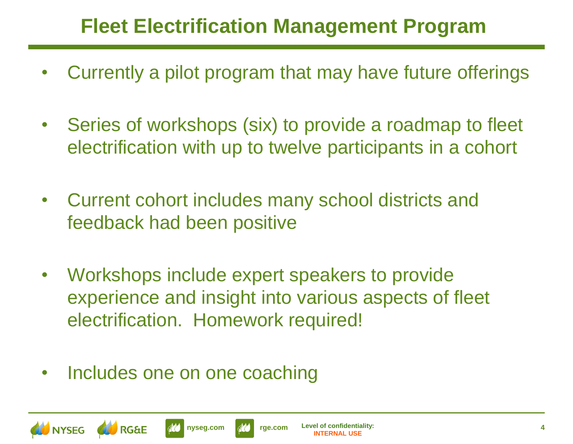# **Fleet Electrification Management Program**

- Currently a pilot program that may have future offerings
- Series of workshops (six) to provide a roadmap to fleet electrification with up to twelve participants in a cohort
- Current cohort includes many school districts and feedback had been positive
- Workshops include expert speakers to provide experience and insight into various aspects of fleet electrification. Homework required!
- Includes one on one coaching



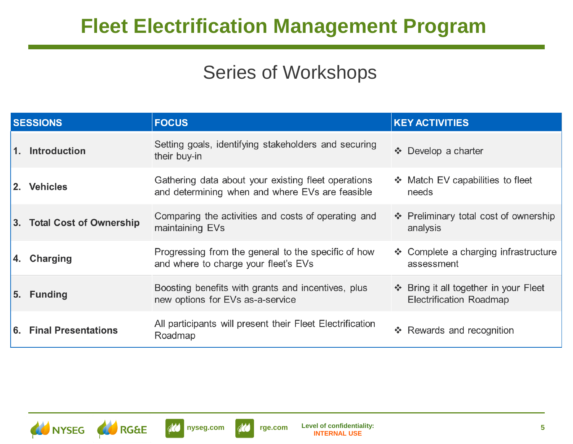# **Fleet Electrification Management Program**

#### Series of Workshops

| <b>SESSIONS</b> |                            | <b>FOCUS</b>                                                                                           | <b>KEY ACTIVITIES</b>                                                   |
|-----------------|----------------------------|--------------------------------------------------------------------------------------------------------|-------------------------------------------------------------------------|
| 1.              | <b>Introduction</b>        | Setting goals, identifying stakeholders and securing<br>their buy-in                                   | Develop a charter<br>$\mathcal{L}_{\mathbf{a}}^{\mathbf{a}}$ .          |
|                 | 2. Vehicles                | Gathering data about your existing fleet operations<br>and determining when and where EVs are feasible | ❖ Match EV capabilities to fleet<br>needs                               |
|                 | 3. Total Cost of Ownership | Comparing the activities and costs of operating and<br>maintaining EVs                                 | ❖ Preliminary total cost of ownership<br>analysis                       |
| 4.              | <b>Charging</b>            | Progressing from the general to the specific of how<br>and where to charge your fleet's EVs            | ❖ Complete a charging infrastructure<br>assessment                      |
| 5.              | <b>Funding</b>             | Boosting benefits with grants and incentives, plus<br>new options for EVs as-a-service                 | ❖ Bring it all together in your Fleet<br><b>Electrification Roadmap</b> |
|                 | 6. Final Presentations     | All participants will present their Fleet Electrification<br>Roadmap                                   | ❖ Rewards and recognition                                               |





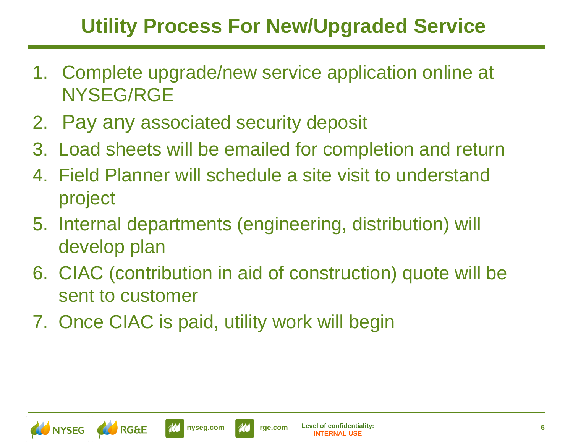# **Utility Process For New/Upgraded Service**

- 1. Complete upgrade/new service application online at NYSEG/RGE
- 2. Pay any associated security deposit
- 3. Load sheets will be emailed for completion and return
- 4. Field Planner will schedule a site visit to understand project
- 5. Internal departments (engineering, distribution) will develop plan
- 6. CIAC (contribution in aid of construction) quote will be sent to customer
- 7. Once CIAC is paid, utility work will begin







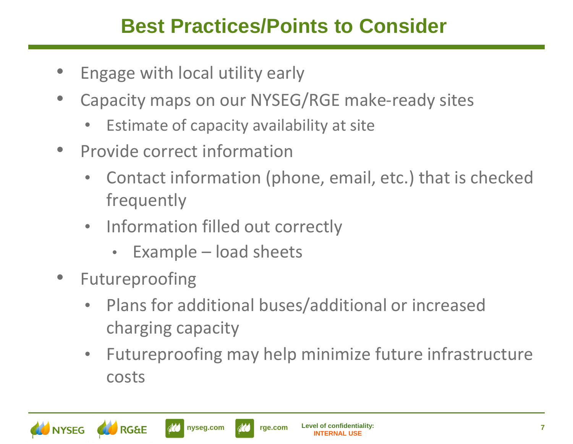# **Best Practices/Points to Consider**

- Engage with local utility early
- Capacity maps on our NYSEG/RGE make-ready sites
	- Estimate of capacity availability at site
- Provide correct information
	- Contact information (phone, email, etc.) that is checked frequently
	- Information filled out correctly
		- Example load sheets
- Futureproofing
	- Plans for additional buses/additional or increased charging capacity
	- Futureproofing may help minimize future infrastructure costs